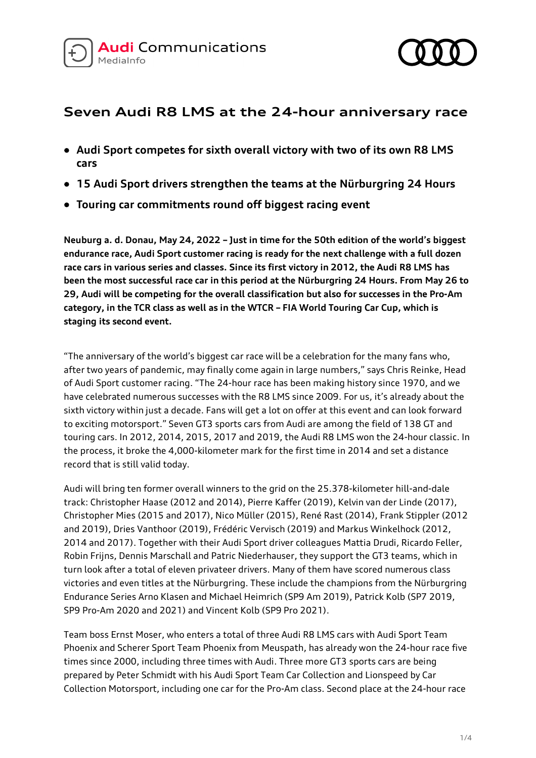



# **Seven Audi R8 LMS at the 24-hour anniversary race**

- **Audi Sport competes for sixth overall victory with two of its own R8 LMS cars**
- **15 Audi Sport drivers strengthen the teams at the Nürburgring 24 Hours**
- **Touring car commitments round off biggest racing event**

**Neuburg a. d. Donau, May 24, 2022 – Just in time for the 50th edition of the world's biggest endurance race, Audi Sport customer racing is ready for the next challenge with a full dozen race cars in various series and classes. Since its first victory in 2012, the Audi R8 LMS has been the most successful race car in this period at the Nürburgring 24 Hours. From May 26 to 29, Audi will be competing for the overall classification but also for successes in the Pro-Am category, in the TCR class as well as in the WTCR – FIA World Touring Car Cup, which is staging its second event.**

"The anniversary of the world's biggest car race will be a celebration for the many fans who, after two years of pandemic, may finally come again in large numbers," says Chris Reinke, Head of Audi Sport customer racing. "The 24-hour race has been making history since 1970, and we have celebrated numerous successes with the R8 LMS since 2009. For us, it's already about the sixth victory within just a decade. Fans will get a lot on offer at this event and can look forward to exciting motorsport." Seven GT3 sports cars from Audi are among the field of 138 GT and touring cars. In 2012, 2014, 2015, 2017 and 2019, the Audi R8 LMS won the 24-hour classic. In the process, it broke the 4,000-kilometer mark for the first time in 2014 and set a distance record that is still valid today.

Audi will bring ten former overall winners to the grid on the 25.378-kilometer hill-and-dale track: Christopher Haase (2012 and 2014), Pierre Kaffer (2019), Kelvin van der Linde (2017), Christopher Mies (2015 and 2017), Nico Müller (2015), René Rast (2014), Frank Stippler (2012 and 2019), Dries Vanthoor (2019), Frédéric Vervisch (2019) and Markus Winkelhock (2012, 2014 and 2017). Together with their Audi Sport driver colleagues Mattia Drudi, Ricardo Feller, Robin Frijns, Dennis Marschall and Patric Niederhauser, they support the GT3 teams, which in turn look after a total of eleven privateer drivers. Many of them have scored numerous class victories and even titles at the Nürburgring. These include the champions from the Nürburgring Endurance Series Arno Klasen and Michael Heimrich (SP9 Am 2019), Patrick Kolb (SP7 2019, SP9 Pro-Am 2020 and 2021) and Vincent Kolb (SP9 Pro 2021).

Team boss Ernst Moser, who enters a total of three Audi R8 LMS cars with Audi Sport Team Phoenix and Scherer Sport Team Phoenix from Meuspath, has already won the 24-hour race five times since 2000, including three times with Audi. Three more GT3 sports cars are being prepared by Peter Schmidt with his Audi Sport Team Car Collection and Lionspeed by Car Collection Motorsport, including one car for the Pro-Am class. Second place at the 24-hour race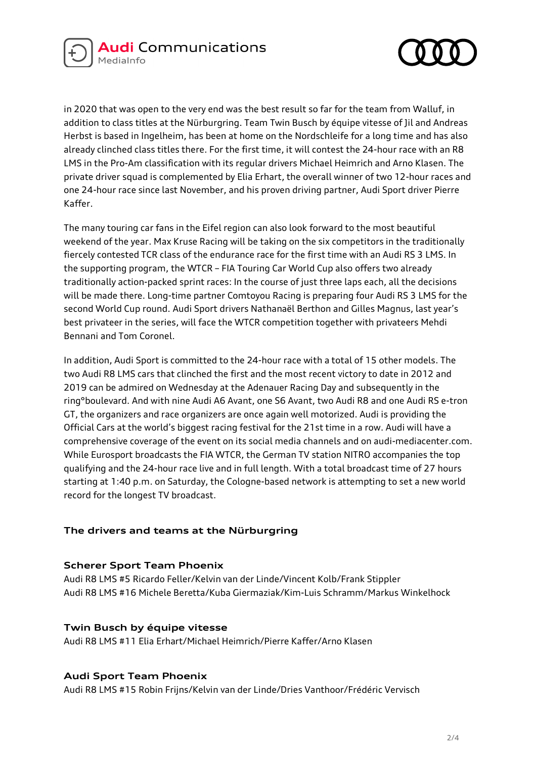



in 2020 that was open to the very end was the best result so far for the team from Walluf, in addition to class titles at the Nürburgring. Team Twin Busch by équipe vitesse of Jil and Andreas Herbst is based in Ingelheim, has been at home on the Nordschleife for a long time and has also already clinched class titles there. For the first time, it will contest the 24-hour race with an R8 LMS in the Pro-Am classification with its regular drivers Michael Heimrich and Arno Klasen. The private driver squad is complemented by Elia Erhart, the overall winner of two 12-hour races and one 24-hour race since last November, and his proven driving partner, Audi Sport driver Pierre Kaffer.

The many touring car fans in the Eifel region can also look forward to the most beautiful weekend of the year. Max Kruse Racing will be taking on the six competitors in the traditionally fiercely contested TCR class of the endurance race for the first time with an Audi RS 3 LMS. In the supporting program, the WTCR – FIA Touring Car World Cup also offers two already traditionally action-packed sprint races: In the course of just three laps each, all the decisions will be made there. Long-time partner Comtoyou Racing is preparing four Audi RS 3 LMS for the second World Cup round. Audi Sport drivers Nathanaël Berthon and Gilles Magnus, last year's best privateer in the series, will face the WTCR competition together with privateers Mehdi Bennani and Tom Coronel.

In addition, Audi Sport is committed to the 24-hour race with a total of 15 other models. The two Audi R8 LMS cars that clinched the first and the most recent victory to date in 2012 and 2019 can be admired on Wednesday at the Adenauer Racing Day and subsequently in the ring°boulevard. And with nine Audi A6 Avant, one S6 Avant, two Audi R8 and one Audi RS e-tron GT, the organizers and race organizers are once again well motorized. Audi is providing the Official Cars at the world's biggest racing festival for the 21st time in a row. Audi will have a comprehensive coverage of the event on its social media channels and on audi-mediacenter.com. While Eurosport broadcasts the FIA WTCR, the German TV station NITRO accompanies the top qualifying and the 24-hour race live and in full length. With a total broadcast time of 27 hours starting at 1:40 p.m. on Saturday, the Cologne-based network is attempting to set a new world record for the longest TV broadcast.

## **The drivers and teams at the Nürburgring**

#### **Scherer Sport Team Phoenix**

Audi R8 LMS #5 Ricardo Feller/Kelvin van der Linde/Vincent Kolb/Frank Stippler Audi R8 LMS #16 Michele Beretta/Kuba Giermaziak/Kim-Luis Schramm/Markus Winkelhock

#### **Twin Busch by équipe vitesse**

Audi R8 LMS #11 Elia Erhart/Michael Heimrich/Pierre Kaffer/Arno Klasen

#### **Audi Sport Team Phoenix**

Audi R8 LMS #15 Robin Frijns/Kelvin van der Linde/Dries Vanthoor/Frédéric Vervisch